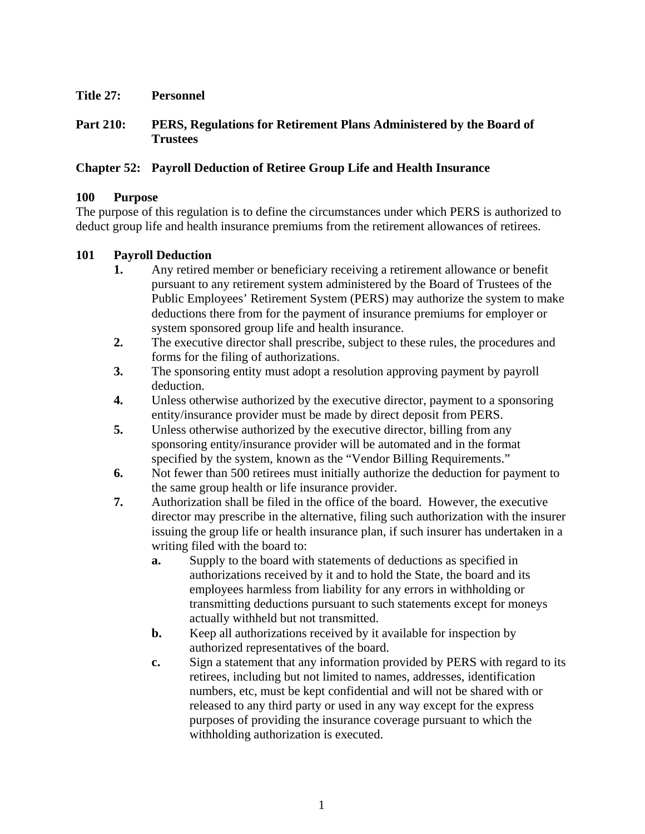**Title 27: Personnel** 

**Part 210: PERS, Regulations for Retirement Plans Administered by the Board of Trustees** 

## **Chapter 52: Payroll Deduction of Retiree Group Life and Health Insurance**

## **100 Purpose**

The purpose of this regulation is to define the circumstances under which PERS is authorized to deduct group life and health insurance premiums from the retirement allowances of retirees.

## **101 Payroll Deduction**

- **1.** Any retired member or beneficiary receiving a retirement allowance or benefit pursuant to any retirement system administered by the Board of Trustees of the Public Employees' Retirement System (PERS) may authorize the system to make deductions there from for the payment of insurance premiums for employer or system sponsored group life and health insurance.
- **2.** The executive director shall prescribe, subject to these rules, the procedures and forms for the filing of authorizations.
- **3.** The sponsoring entity must adopt a resolution approving payment by payroll deduction.
- **4.** Unless otherwise authorized by the executive director, payment to a sponsoring entity/insurance provider must be made by direct deposit from PERS.
- **5.** Unless otherwise authorized by the executive director, billing from any sponsoring entity/insurance provider will be automated and in the format specified by the system, known as the "Vendor Billing Requirements."
- **6.** Not fewer than 500 retirees must initially authorize the deduction for payment to the same group health or life insurance provider.
- **7.** Authorization shall be filed in the office of the board. However, the executive director may prescribe in the alternative, filing such authorization with the insurer issuing the group life or health insurance plan, if such insurer has undertaken in a writing filed with the board to:
	- **a.** Supply to the board with statements of deductions as specified in authorizations received by it and to hold the State, the board and its employees harmless from liability for any errors in withholding or transmitting deductions pursuant to such statements except for moneys actually withheld but not transmitted.
	- **b.** Keep all authorizations received by it available for inspection by authorized representatives of the board.
	- **c.** Sign a statement that any information provided by PERS with regard to its retirees, including but not limited to names, addresses, identification numbers, etc, must be kept confidential and will not be shared with or released to any third party or used in any way except for the express purposes of providing the insurance coverage pursuant to which the withholding authorization is executed.